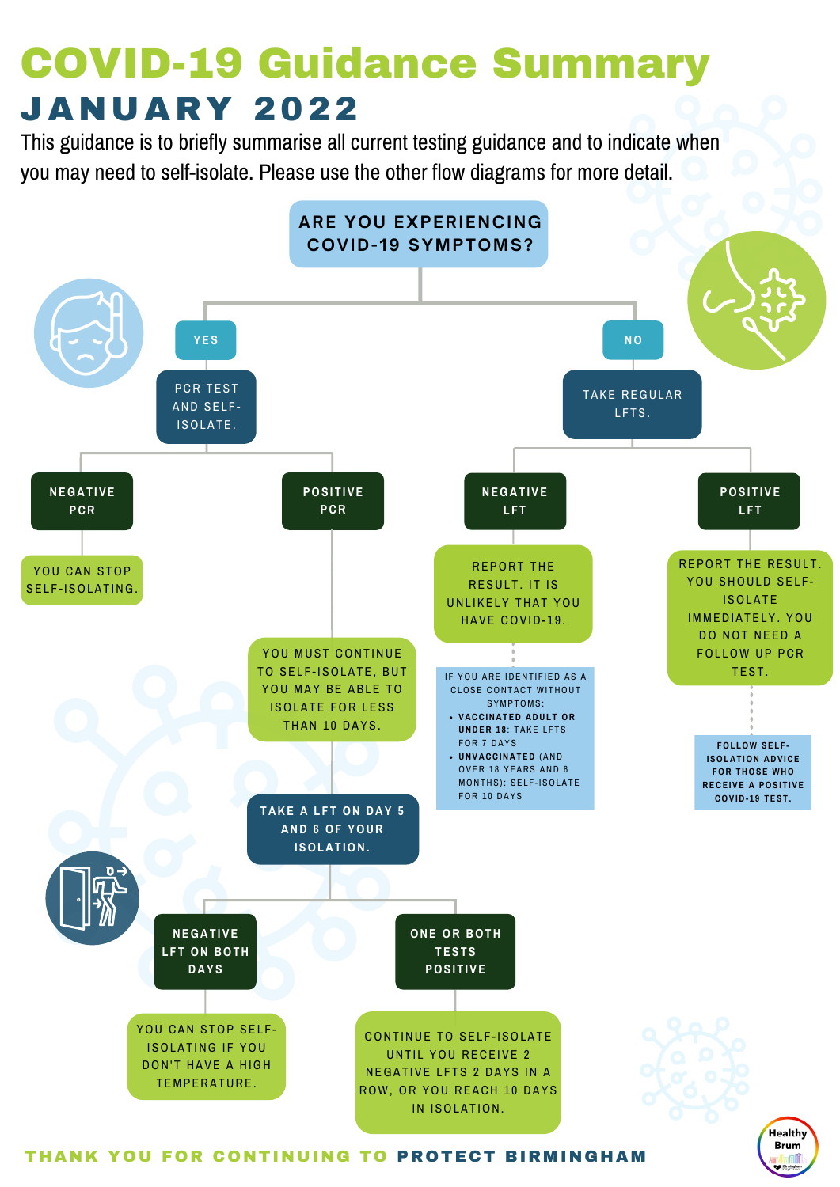

#### THANK YOU FOR CONTINUING TO PROTECT BIRMINGHAM

Healthy **Brum** 

### COVID-19 Guidance Summary JA N U ARY 2022

This guidance is to briefly summarise all current testing guidance and to indicate when you may need to self-isolate. Please use the other flow diagrams for more detail.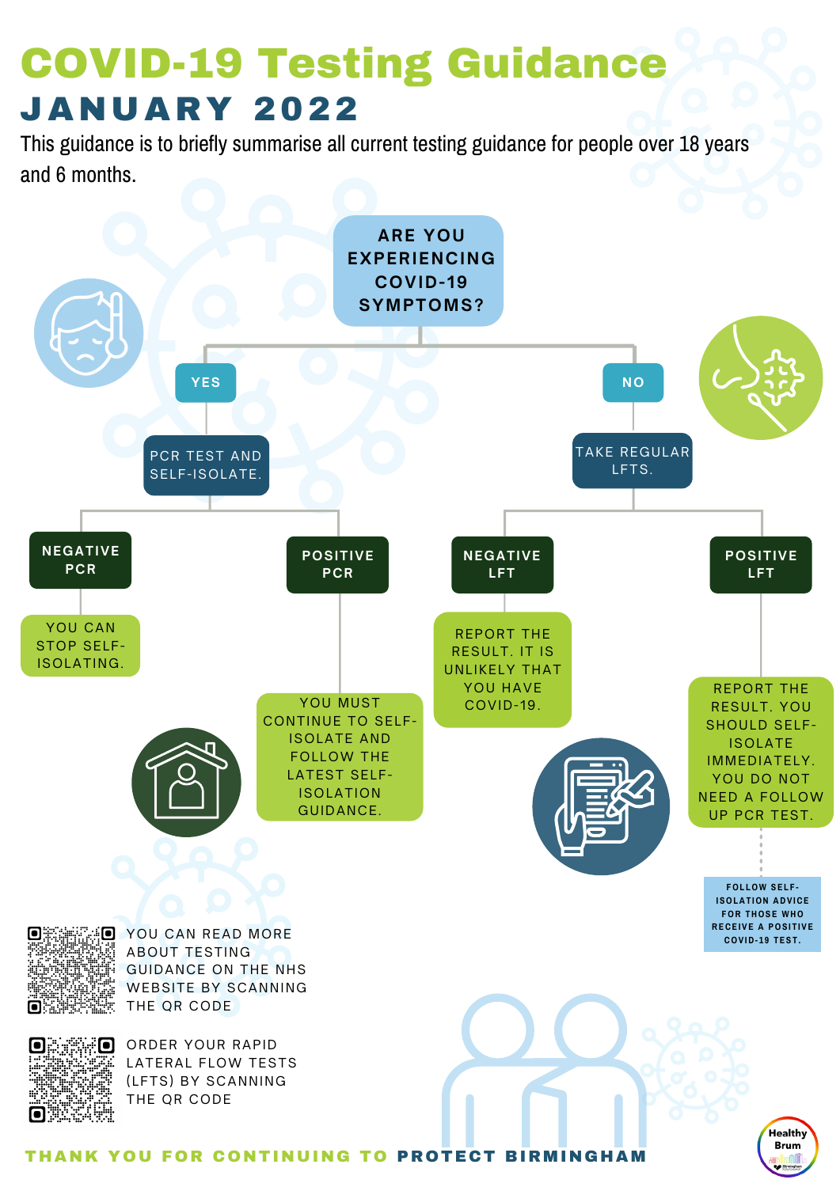

O YOU CAN READ MORE ABOUT TESTING GUIDANCE ON THE NHS WEBSITE BY SCANNING THE QR CODE

 $\blacksquare$ 

ORDER YOUR RAPID LATERAL FLOW TESTS (LFTS) BY SCANNING THE QR CODE

THANK YOU FOR CONTINUING TO PROTECT BIRMINGHAM



**RECEIVE A POSITIVE COV ID- 1 9 T E S T .**

This guidance is to briefly summarise all current testing guidance for people over 18 years and 6 months.

## COVID-19 Testing Guidance JA N U ARY 2022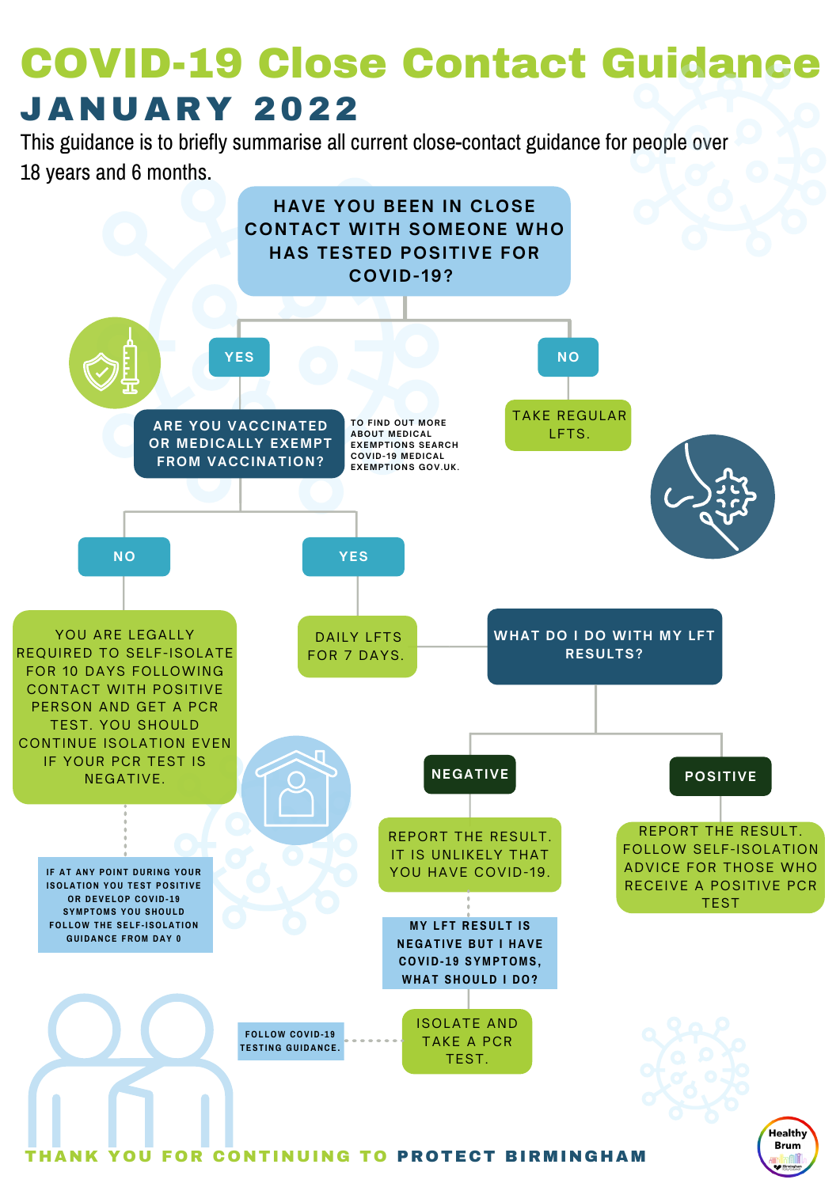

This guidance is to briefly summarise all current close-contact guidance for people over

18 years and 6 months.

## COVID-19 Close Contact Guidance JA N U ARY 2022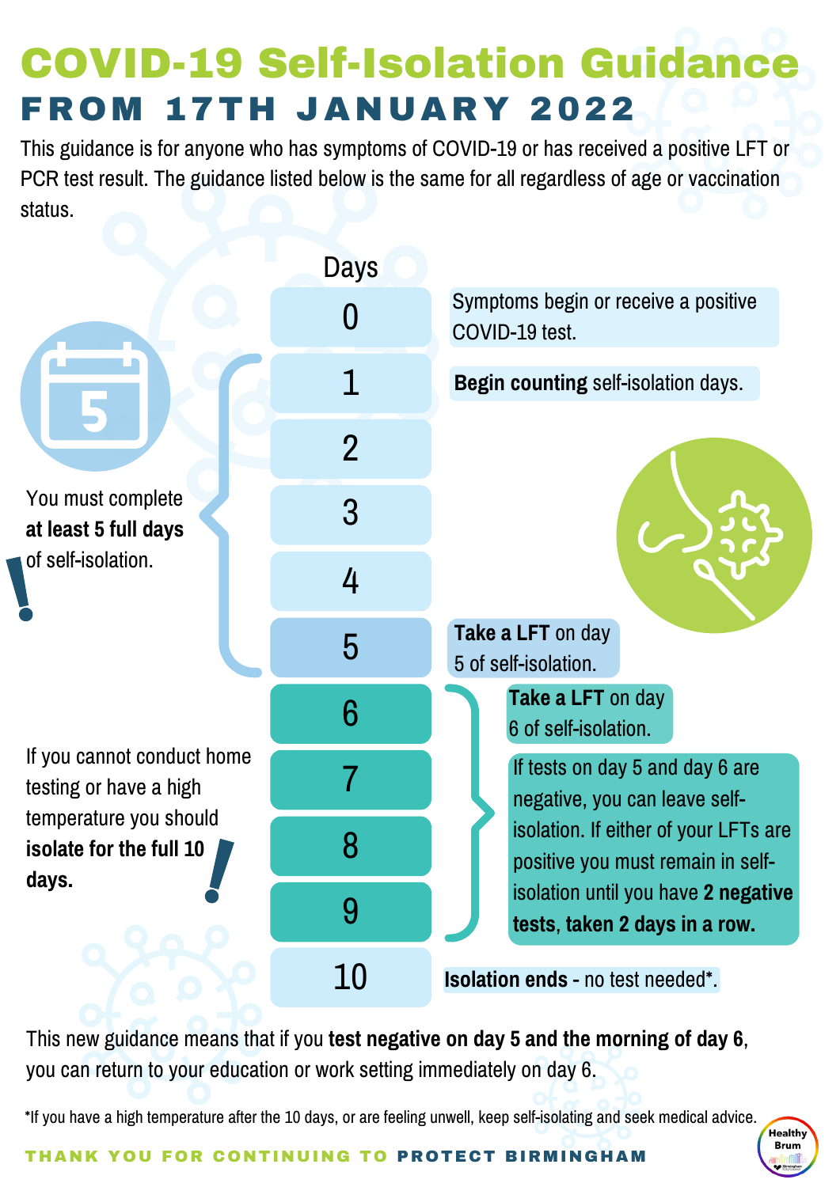# COVID-19 Self-Isolation Guidance FR OM 17T H JA N U ARY 2022

This guidance is for anyone who has symptoms of COVID-19 or has received a positive LFT or PCR test result. The guidance listed below is the same for all regardless of age or vaccination status.



This new guidance means that if you **test negative on day 5 and the morning of day 6**, you can return to your education or work setting immediately on day 6.

\*If you have a high temperature after the 10 days, or are feeling unwell, keep self-isolating and seek medical advice.

#### THANK YOU FOR CONTINUING TO PROTECT BIRMINGHAM

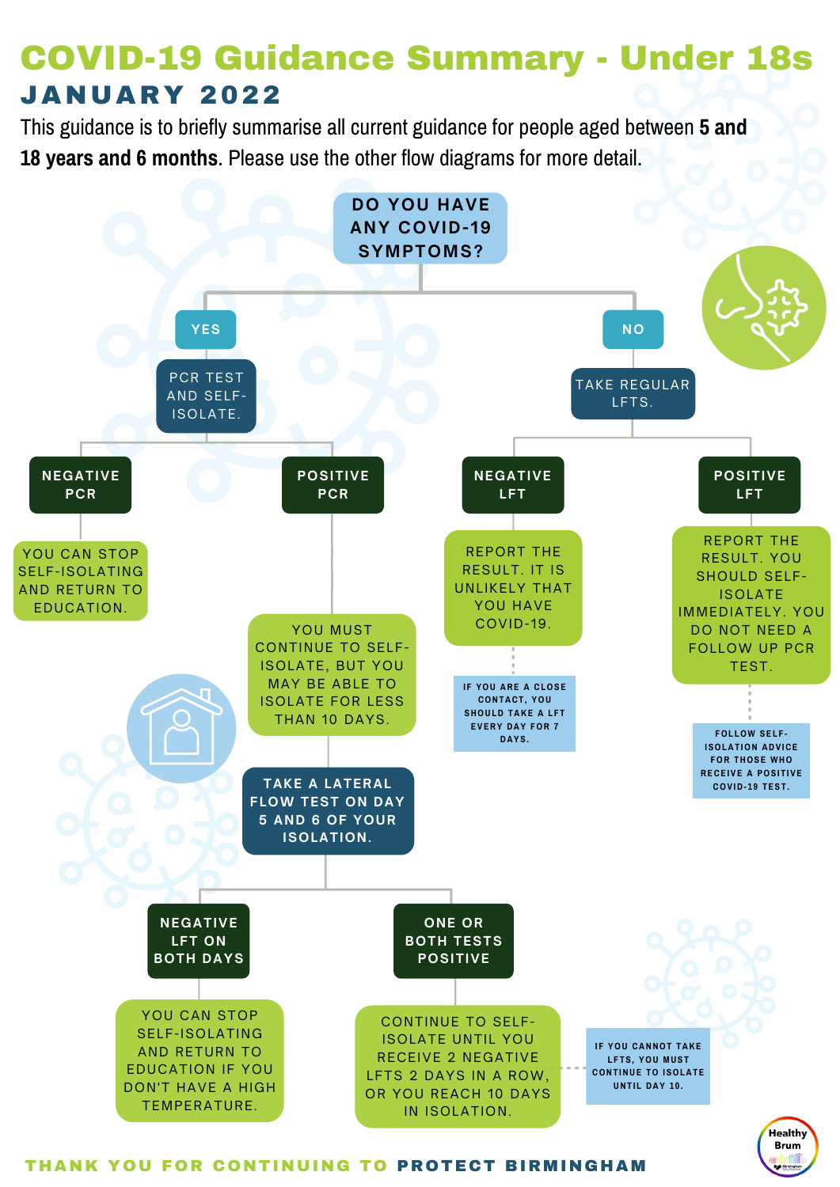

#### THANK YOU FOR CONTINUING TO PROTECT BIRMINGHAM

### **JANUARY 2022** COVID-19 Guidance Summary - Under 18s

This guidance is to briefly summarise all current guidance for people aged between **5 and 18 years and 6 months**. Please use the other flow diagrams for more detail.